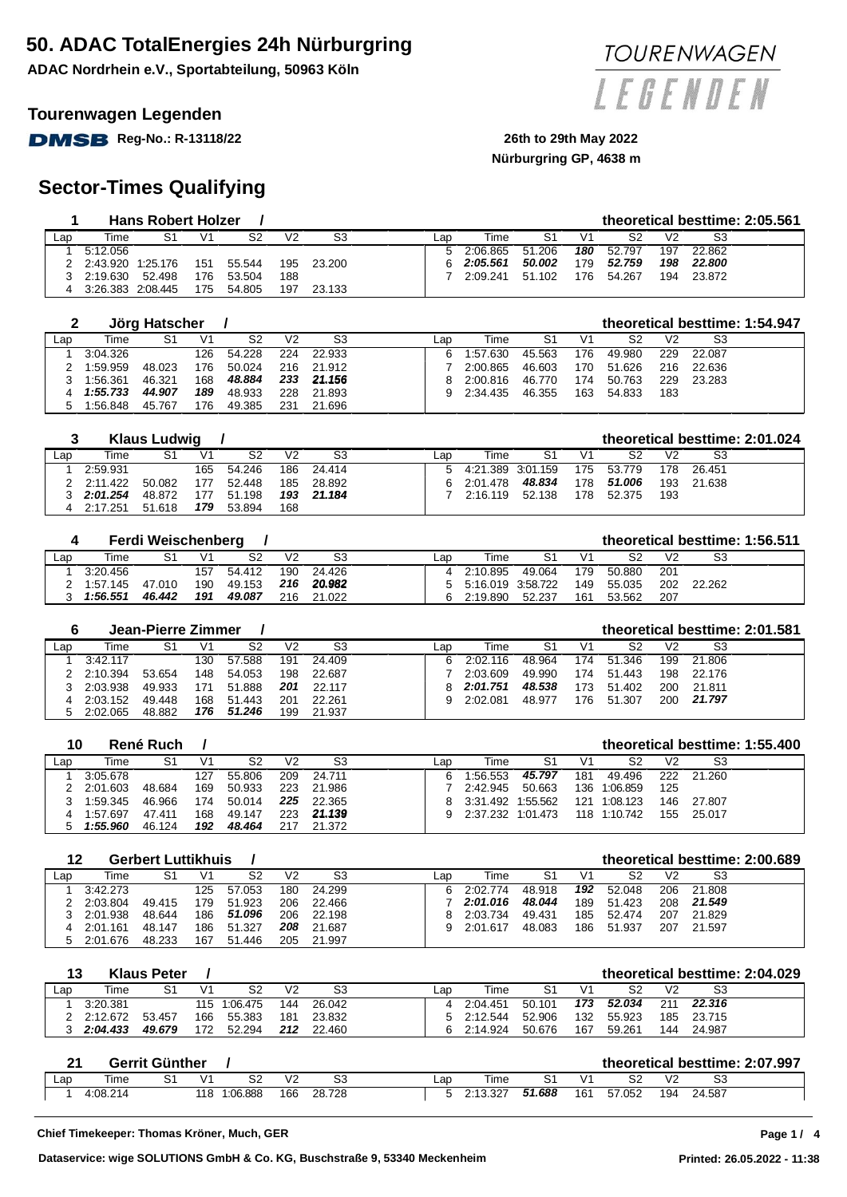**ADAC Nordrhein e.V., Sportabteilung, 50963 Köln**

### **Tourenwagen Legenden**

**DMSB** Reg-No.: R-13118/22 26th to 29th May 2022

# **Sector-Times Qualifying**

|     |          | <b>Hans Robert Holzer</b> |                |        |     |        |     |          |        |     |        |     |        | theoretical besttime: 2:05.561 |
|-----|----------|---------------------------|----------------|--------|-----|--------|-----|----------|--------|-----|--------|-----|--------|--------------------------------|
| Lap | Time     | S1                        | V <sub>1</sub> | S2     | V2  | S3     | ∟ar | Time     | S1     | V1  | S2     | V2  | S3     |                                |
|     | 5:12.056 |                           |                |        |     |        |     | 2:06.865 | 51.206 | 180 | 52.797 | 197 | 22.862 |                                |
|     | 2:43.920 | 1:25.176                  | 151            | 55.544 | 195 | 23.200 |     | 2:05.561 | 50.002 | 179 | 52.759 | 198 | 22.800 |                                |
|     | 2:19.630 | 52.498                    | 176            | 53.504 | 188 |        |     | 2:09.241 | 51.102 | 176 | 54.267 | 194 | 23.872 |                                |
|     | 3:26.383 | 2:08.445                  | 175            | 54.805 | 197 | 23.133 |     |          |        |     |        |     |        |                                |

|                |          | Jörg Hatscher |     |                |     |        |     |          |        |     |        |     |        | theoretical besttime: 1:54.947 |
|----------------|----------|---------------|-----|----------------|-----|--------|-----|----------|--------|-----|--------|-----|--------|--------------------------------|
| $\mathsf{Lap}$ | Time     | S1            | V1  | S <sub>2</sub> | V2  | S3     | Lap | Time     | S1     | V1  | S2     | V2  | S3     |                                |
|                | 3:04.326 |               | 126 | 54.228         | 224 | 22.933 |     | 1:57.630 | 45.563 | 176 | 49.980 | 229 | 22.087 |                                |
|                | 1:59.959 | 48.023        | 176 | 50.024         | 216 | 21.912 |     | 2:00.865 | 46.603 | 170 | 51.626 | 216 | 22.636 |                                |
|                | 1:56.361 | 46.321        | 168 | 48.884         | 233 | 21.156 |     | 2:00.816 | 46.770 | 174 | 50.763 | 229 | 23.283 |                                |
|                | 1:55.733 | 44.907        | 189 | 48.933         | 228 | 21.893 |     | 2:34.435 | 46.355 | 163 | 54.833 | 183 |        |                                |
|                | 1:56.848 | 45.767        | 176 | 49.385         | 231 | 21.696 |     |          |        |     |        |     |        |                                |

|     |          | <b>Klaus Ludwig</b> |     |        |                |        |     |                     |        |     |        |                |        | theoretical besttime: 2:01.024 |
|-----|----------|---------------------|-----|--------|----------------|--------|-----|---------------------|--------|-----|--------|----------------|--------|--------------------------------|
| ∟ap | Time     | S1                  | V1  | S2     | V <sub>2</sub> | S3     | ∟ar | Time                | S1     | V1  | S2     | V <sub>2</sub> | S3     |                                |
|     | 2:59.931 |                     | 165 | 54.246 | 186            | 24.414 |     | 5 4:21.389 3:01.159 |        | 175 | 53.779 | 178            | 26.451 |                                |
|     | 2:11.422 | 50.082              | 177 | 52.448 | 185            | 28.892 |     | 2:01.478            | 48.834 | 178 | 51.006 | 193            | 21.638 |                                |
|     | 2:01.254 | 48.872              | 177 | 51.198 | 193            | 21.184 |     | 2:16.119            | 52.138 | 178 | 52.375 | 193            |        |                                |
|     | 2:17.251 | 51.618              | 179 | 53.894 | 168            |        |     |                     |        |     |        |                |        |                                |

|     |          | Ferdi Weischenberg |                |                |     |        |     |                     |        |     |        |                |        | theoretical besttime: 1:56.511 |
|-----|----------|--------------------|----------------|----------------|-----|--------|-----|---------------------|--------|-----|--------|----------------|--------|--------------------------------|
| Lap | Time     | S1                 | V <sub>1</sub> | S <sub>2</sub> | V2  |        | ∟ap | Time                | S1     | V1  | S2     | V <sub>2</sub> | S3     |                                |
|     | 3:20.456 |                    | 157            | 54.412         | 190 | 24.426 |     | 4 2:10.895          | 49.064 | 179 | 50.880 | 201            |        |                                |
|     | 1:57.145 | 47.010             | 190            | 49.153         | 216 | 20.982 |     | 5 5:16.019 3:58.722 |        | 149 | 55.035 | 202            | 22.262 |                                |
|     | 1:56.551 | 46.442             | 191            | 49.087         | 216 | 21.022 |     | 2:19.890            | 52.237 | 161 | 53.562 | 207            |        |                                |

|     |          | Jean-Pierre Zimmer |     |                |     |        |     |          |        |                |        |     |        | theoretical besttime: 2:01.581 |
|-----|----------|--------------------|-----|----------------|-----|--------|-----|----------|--------|----------------|--------|-----|--------|--------------------------------|
| Lap | Time     | S1                 | V1  | S <sub>2</sub> | V2  | S3     | Lan | Time     | S1     | V <sup>1</sup> | S2     | V2  | S3     |                                |
|     | 3:42.117 |                    | 130 | 57.588         | 191 | 24.409 | а   | 2:02.116 | 48.964 | 174            | 51.346 | 199 | 21.806 |                                |
|     | 2:10.394 | 53.654             | 148 | 54.053         | 198 | 22.687 |     | 2:03.609 | 49.990 | 174            | 51.443 | 198 | 22.176 |                                |
|     | 2:03.938 | 49.933             |     | 51.888         | 201 | 22.117 | 8   | 2:01.751 | 48.538 | 173            | 51.402 | 200 | 21.811 |                                |
|     | 2:03.152 | 49.448             | 168 | 51.443         | 201 | 22.261 |     | 2:02.081 | 48.977 | 176            | 51.307 | 200 | 21.797 |                                |
|     | 2:02.065 | 48.882             | 176 | 51.246         | 199 | 21.937 |     |          |        |                |        |     |        |                                |

| 10  |          | René Ruch |     |        |     |        |     |          |          |     |              |                |        | theoretical besttime: 1:55.400 |
|-----|----------|-----------|-----|--------|-----|--------|-----|----------|----------|-----|--------------|----------------|--------|--------------------------------|
| Lap | Time     | S1        | V1  | S2     | V2  | S3     | Lap | Time     | S1       |     | S2           | V <sub>2</sub> | S3     |                                |
|     | 3:05.678 |           | 127 | 55.806 | 209 | 24.711 | 6   | 1:56.553 | 45.797   | 181 | 49.496       | 222            | 21.260 |                                |
|     | 2:01.603 | 48.684    | 169 | 50.933 | 223 | 21.986 |     | 2:42.945 | 50.663   | 136 | 1:06.859     | 125            |        |                                |
|     | 1:59.345 | 46.966    | 174 | 50.014 | 225 | 22.365 | 8   | 3:31.492 | 1:55.562 | 121 | 1:08.123     | 146            | 27.807 |                                |
|     | 1:57.697 | 47.411    | 168 | 49.147 | 223 | 21.139 | 9   | 2:37.232 | 1:01.473 |     | 118 1:10.742 | 155            | 25.017 |                                |
|     | 1:55.960 | 46.124    | 192 | 48.464 | 217 | 21.372 |     |          |          |     |              |                |        |                                |

| 12              |          | <b>Gerbert Luttikhuis</b> |     |             |     |        |     |          |        |     |        |                |        | theoretical besttime: 2:00.689 |
|-----------------|----------|---------------------------|-----|-------------|-----|--------|-----|----------|--------|-----|--------|----------------|--------|--------------------------------|
| $\mathsf{L}$ ap | Time     | S1                        | V1  | S2          | V2  | S3     | ∟ap | Time     | S1     |     | S2     | V <sub>2</sub> | S3     |                                |
|                 | 3:42.273 |                           | 125 | 57.053      | 180 | 24.299 | 6   | 2:02.774 | 48.918 | 192 | 52.048 | 206            | 21.808 |                                |
|                 | 2:03.804 | 49.415                    | 179 | 51.923      | 206 | 22.466 |     | 2:01.016 | 48.044 | 189 | 51.423 | 208            | 21.549 |                                |
|                 | 2:01.938 | 48.644                    | 186 | 51.096      | 206 | 22.198 |     | 2:03.734 | 49.431 | 185 | 52.474 | 207            | 21.829 |                                |
| 4               | 2:01.161 | 48.147                    | 186 | 51.327      | 208 | 21.687 | 9   | 2:01.617 | 48.083 | 186 | 51.937 | 207            | 21.597 |                                |
| 5               | 2:01.676 | 48.233                    | 167 | .446<br>.51 | 205 | 21.997 |     |          |        |     |        |                |        |                                |

| 13  |          | <b>Klaus Peter</b> |     |              |     |        |     |          |        |                |        |     |        | theoretical besttime: 2:04.029 |
|-----|----------|--------------------|-----|--------------|-----|--------|-----|----------|--------|----------------|--------|-----|--------|--------------------------------|
| Lap | Time     | S1                 |     | S2           | V2  | S3     | ∟ar | Time     |        | V <sup>1</sup> | S2     | V2  | S3     |                                |
|     | 3:20.381 |                    |     | 115 1:06.475 | 144 | 26.042 |     | 2:04.451 | 50.101 | 173            | 52.034 | 211 | 22.316 |                                |
|     | 2:12.672 | 53.457             | 166 | 55.383       | 181 | 23.832 |     | 2:12.544 | 52.906 | 132            | 55.923 | 185 | 23.715 |                                |
|     | 2:04.433 | 49.679             | 172 | 52.294       | 212 | 22.460 |     | 2:14.924 | 50.676 | 167            | 59.261 | 144 | 24.987 |                                |

| າ4             |          | Gerrit Günther |            |          |                |        |     |          |        |     |        |            |        | theoretical besttime: 2:07.997 |
|----------------|----------|----------------|------------|----------|----------------|--------|-----|----------|--------|-----|--------|------------|--------|--------------------------------|
| $\mathsf{Lap}$ | Time     |                | $\sqrt{1}$ | ິ        | V <sub>2</sub> | S3     | _ar | Time     |        | \/1 |        | $\sqrt{2}$ | S3     |                                |
|                | 4:08.214 |                | 118        | 1:06.888 | 166            | 28.728 |     | 2:13.327 | 51.688 | 161 | 57.052 | 194        | 24.587 |                                |





# **Nürburgring GP, 4638 m**

**Page 1 /**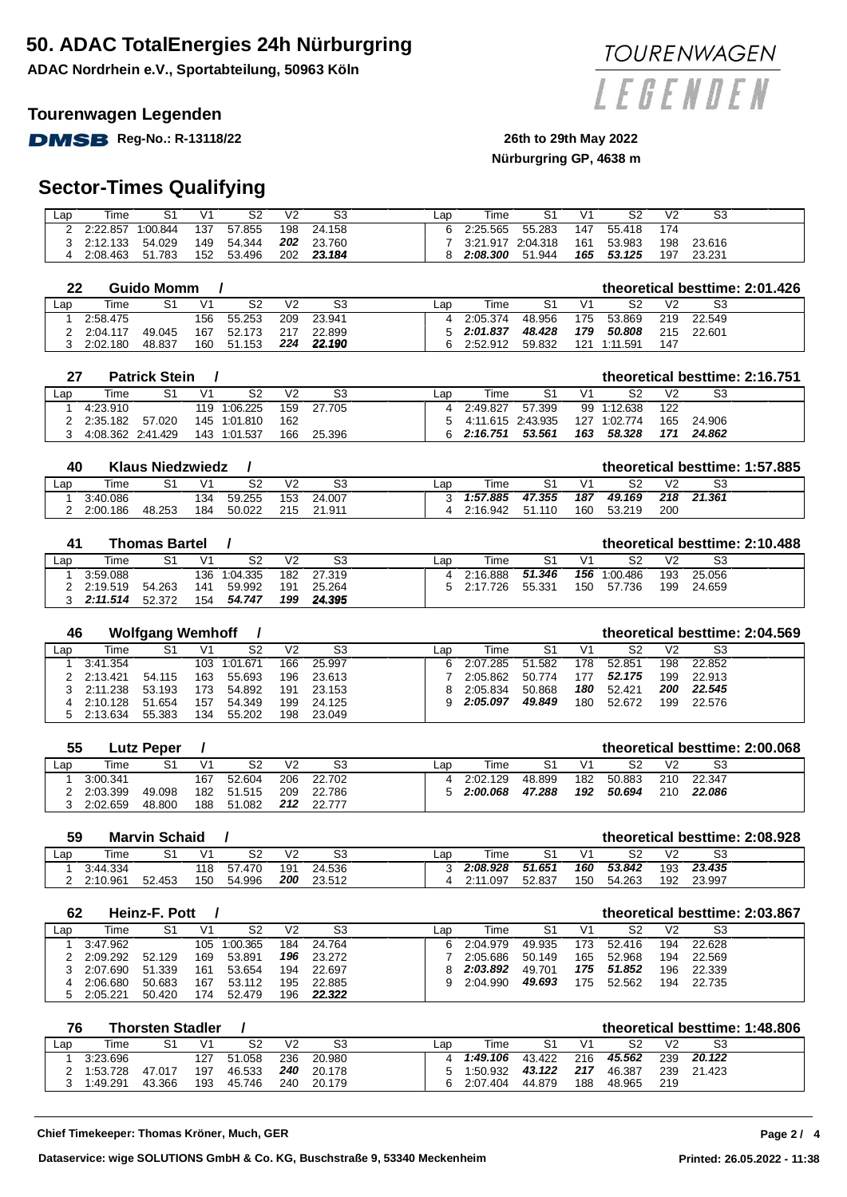**ADAC Nordrhein e.V., Sportabteilung, 50963 Köln**

#### **Tourenwagen Legenden**

**DMSB** Reg-No.: R-13118/22 26th to 29th May 2022

# **Nürburgring GP, 4638 m**

# **Sector-Times Qualifying**

| $\mathsf{L}$ ap | Time     | S1       | V1  | S2     | V2  | S3     | ∟ar | Гіmе              |        |     | S2     | V <sub>2</sub> | S3     |  |
|-----------------|----------|----------|-----|--------|-----|--------|-----|-------------------|--------|-----|--------|----------------|--------|--|
|                 | 2:22.857 | 1:00.844 | 137 | 57.855 | 198 | 24.158 |     | 2:25.565          | 55.283 | 147 | 55.418 | 174            |        |  |
|                 | 2:12.133 | 54.029   | 149 | 54.344 | 202 | 23.760 |     | 3:21.917 2:04.318 |        | 161 | 53.983 | 198            | 23.616 |  |
|                 | 2:08.463 | 51.783   | 152 | 53.496 | 202 | 23.184 |     | 2:08.300          | 51.944 | 165 | 53.125 | 197            | 23.231 |  |

| 22  |          | Guido Momm |     |            |     |        |     |           |        |     |          |                |        | theoretical besttime: 2:01.426 |
|-----|----------|------------|-----|------------|-----|--------|-----|-----------|--------|-----|----------|----------------|--------|--------------------------------|
| Lap | Time     | S1         | V1  | S2         | V2  | S3     | ∟ap | Time      | S1     |     | S2       | V <sub>2</sub> | S3     |                                |
|     | 2:58.475 |            | 156 | 55.253     | 209 | 23.941 |     | 2:05.374  | 48.956 | 175 | 53.869   | 219            | 22.549 |                                |
|     | 2:04.117 | 49.045     | 167 | 52.173     |     | 22.899 |     | 52:01.837 | 48.428 | 179 | 50.808   | 215            | 22.601 |                                |
|     | 2:02.180 | 48.837     | 160 | .153<br>51 | 224 | 22.190 | а   | 2:52.912  | 59.832 | 121 | 1:11.591 | 147            |        |                                |

|     |                   | <b>Patrick Stein</b> |                |              |     |        |     |                     |        |     |             |                |        | theoretical besttime: 2:16.751 |
|-----|-------------------|----------------------|----------------|--------------|-----|--------|-----|---------------------|--------|-----|-------------|----------------|--------|--------------------------------|
| Lap | Time              | S1                   | V <sub>1</sub> | S2           | V2  | S3     | ∟ap | Time                | S1     | V1  | S2          | V <sub>2</sub> | S3     |                                |
|     | 4:23.910          |                      |                | 119 1:06.225 | 159 | 27.705 |     | 4 2:49.827          | 57.399 |     | 99 1:12.638 | 122            |        |                                |
|     | 2:35.182          | 57.020               |                | 145 1:01.810 | 162 |        |     | 5 4:11.615 2:43.935 |        | 127 | 1:02.774    | 165            | 24.906 |                                |
|     | 4:08.362 2:41.429 |                      |                | 143 1:01.537 | 166 | 25.396 |     | 6 2:16.751          | 53.561 | 163 | 58.328      |                | 24.862 |                                |

| 40  |          | <b>Klaus Niedzwiedz</b> |     |        |     |        |     |          |        |     |        |     |        | theoretical besttime: 1:57.885 |
|-----|----------|-------------------------|-----|--------|-----|--------|-----|----------|--------|-----|--------|-----|--------|--------------------------------|
| Lap | Time     | S1                      |     | S2     | V2  | S3     | ∟ap | Time     |        | V1  | S2     |     | S3     |                                |
|     | 3:40.086 |                         | 134 | 59.255 | 153 | 24.007 |     | 1:57.885 | 47.355 | 187 | 49.169 | 218 | 21.361 |                                |
|     | 2:00.186 | 48.253                  | 184 | 50.022 | 215 | 21.911 |     | 2:16.942 | 51.110 | 160 | 53.219 | 200 |        |                                |

#### **41 Thomas Bartel / theoretical besttime: 2:10.488**

|                |                 |        |     |              |     |            |     |            |        |     |              |                |        | ___ |
|----------------|-----------------|--------|-----|--------------|-----|------------|-----|------------|--------|-----|--------------|----------------|--------|-----|
| $\mathsf{Lap}$ | Time            |        |     | S2           | V2  | S3         | ∟ap | Time       | S1     |     | S2           | V <sub>2</sub> | S3     |     |
|                | 3:59.088        |        |     | 136 1:04.335 |     | 182 27.319 |     | 4 2:16.888 | 51.346 |     | 156 1:00.486 | 193            | 25.056 |     |
|                | 2:19.519        | 54.263 | 141 | 59.992       | 191 | 25.264     |     | 5 2:17.726 | 55.331 | 150 | 57.736       | 199            | 24.659 |     |
|                | 2:11.514 52.372 |        | 154 | 54.747       | 199 | 24.395     |     |            |        |     |              |                |        |     |

| 46  |          | <b>Wolfgang Wemhoff</b> |     |              |     |        |     |          |        |     |        |     |        | theoretical besttime: 2:04.569 |
|-----|----------|-------------------------|-----|--------------|-----|--------|-----|----------|--------|-----|--------|-----|--------|--------------------------------|
| Lap | Time     | S1                      | V1  | S2           | V2  | S3     | Lac | Time     | S1     | V1  | S2     | V2  | S3     |                                |
|     | 3:41.354 |                         |     | 103 1:01.671 | 166 | 25.997 | 6.  | 2:07.285 | 51.582 | 178 | 52.851 | 198 | 22.852 |                                |
|     | 2:13.421 | 54.115                  | 163 | 55.693       | 196 | 23.613 |     | 2:05.862 | 50.774 | 177 | 52.175 | 199 | 22.913 |                                |
|     | 2:11.238 | 53.193                  | 173 | 54.892       | 191 | 23.153 |     | 2:05.834 | 50.868 | 180 | 52.421 | 200 | 22.545 |                                |
|     | 2:10.128 | 51.654                  | 157 | 54.349       | 199 | 24.125 | 9   | 2:05.097 | 49.849 | 180 | 52.672 | 199 | 22.576 |                                |
| 5   | 2:13.634 | 55.383                  | 134 | 55.202       | 198 | 23.049 |     |          |        |     |        |     |        |                                |

| 55  |          | ∟utz Peper |                |                |     |        |     |          |        |     |        |                |        | theoretical besttime: 2:00.068 |
|-----|----------|------------|----------------|----------------|-----|--------|-----|----------|--------|-----|--------|----------------|--------|--------------------------------|
| Lap | Time     | S1         | V <sub>1</sub> | S <sub>2</sub> | V2  | S3     | ∟ar | Time     |        |     | S2     | V <sub>2</sub> | S3     |                                |
|     | 3:00.341 |            | 167            | 52.604         | 206 | 22.702 |     | 2:02.129 | 48.899 | 182 | 50.883 | 210            | 22.347 |                                |
|     | 2:03.399 | 49.098     | 182            | 51.515         | 209 | 22.786 |     | 2:00.068 | 47.288 | 192 | 50.694 | 210            | 22.086 |                                |
|     | 2:02.659 | 48.800     | 188            | .082<br>51     | 212 | 22.777 |     |          |        |     |        |                |        |                                |

| 59     |          | Marvin Schaid |     |        |                |        |     |          |      |        |     |        |                |        | theoretical besttime: 2:08.928 |
|--------|----------|---------------|-----|--------|----------------|--------|-----|----------|------|--------|-----|--------|----------------|--------|--------------------------------|
| $L$ ap | Time     | S1            | V1  | S2     | V <sub>2</sub> | S3     | ∟ap |          | Time |        |     | S2     | V <sub>2</sub> | S3     |                                |
|        | 3:44.334 |               | 118 | 57.470 | 191            | 24.536 |     | 2:08.928 |      | 51.651 | 160 | 53.842 | 193            | 23.435 |                                |
|        | 2:10.961 | 52.453        | 150 | 54.996 | 200            | 23.512 |     | 2:11.097 |      | 52.837 | 150 | 54.263 | 192            | 23.997 |                                |

| 62  |          | Heinz-F. Pott |                |          |     |        |     |          |        |     |        |                |        | theoretical besttime: 2:03.867 |
|-----|----------|---------------|----------------|----------|-----|--------|-----|----------|--------|-----|--------|----------------|--------|--------------------------------|
| Lap | Time     | S1            | V <sub>1</sub> | S2       | V2  | S3     | ∟ap | Time     | S1     | V1  | S2     | V <sub>2</sub> | S3     |                                |
|     | 3:47.962 |               | 105            | 1:00.365 | 184 | 24.764 |     | 2:04.979 | 49.935 | '73 | 52.416 | 194            | 22.628 |                                |
|     | 2:09.292 | 52.129        | 169            | 53.891   | 196 | 23.272 |     | 2:05.686 | 50.149 | 165 | 52.968 | 194            | 22.569 |                                |
|     | 2:07.690 | 51.339        | 161            | 53.654   | 194 | 22.697 |     | 2:03.892 | 49.701 | 175 | 51.852 | 196            | 22.339 |                                |
| 4   | 2:06.680 | 50.683        | 167            | 53.112   | 195 | 22.885 |     | 2:04.990 | 49.693 | 75  | 52.562 | 194            | 22.735 |                                |
|     | 2:05.221 | 50.420        | 174            | 52.479   | 196 | 22.322 |     |          |        |     |        |                |        |                                |

| 76              |          | <b>Thorsten Stadler</b> |                |                |     |                |     |          |        |     |        |                |        | theoretical besttime: 1:48.806 |
|-----------------|----------|-------------------------|----------------|----------------|-----|----------------|-----|----------|--------|-----|--------|----------------|--------|--------------------------------|
| $\mathsf{L}$ ap | Time     | S1                      | V <sub>1</sub> | S <sub>2</sub> | V2  | S <sub>3</sub> | ∟ar | Time     |        |     | S2     | V <sub>2</sub> | S3     |                                |
|                 | 3:23.696 |                         | 127            | .058<br>51     | 236 | 20.980         |     | 1:49.106 | 43.422 | 216 | 45.562 | 239            | 20.122 |                                |
|                 | 1:53.728 | 47.017                  | 197            | 46.533         | 240 | 20.178         |     | 1:50.932 | 43.122 | 217 | 46.387 | 239            | 21.423 |                                |
|                 | l:49.291 | 43.366                  | 193            | 45.746         | 240 | 20.179         |     | 2:07.404 | 44.879 | 188 | 48.965 | 219            |        |                                |



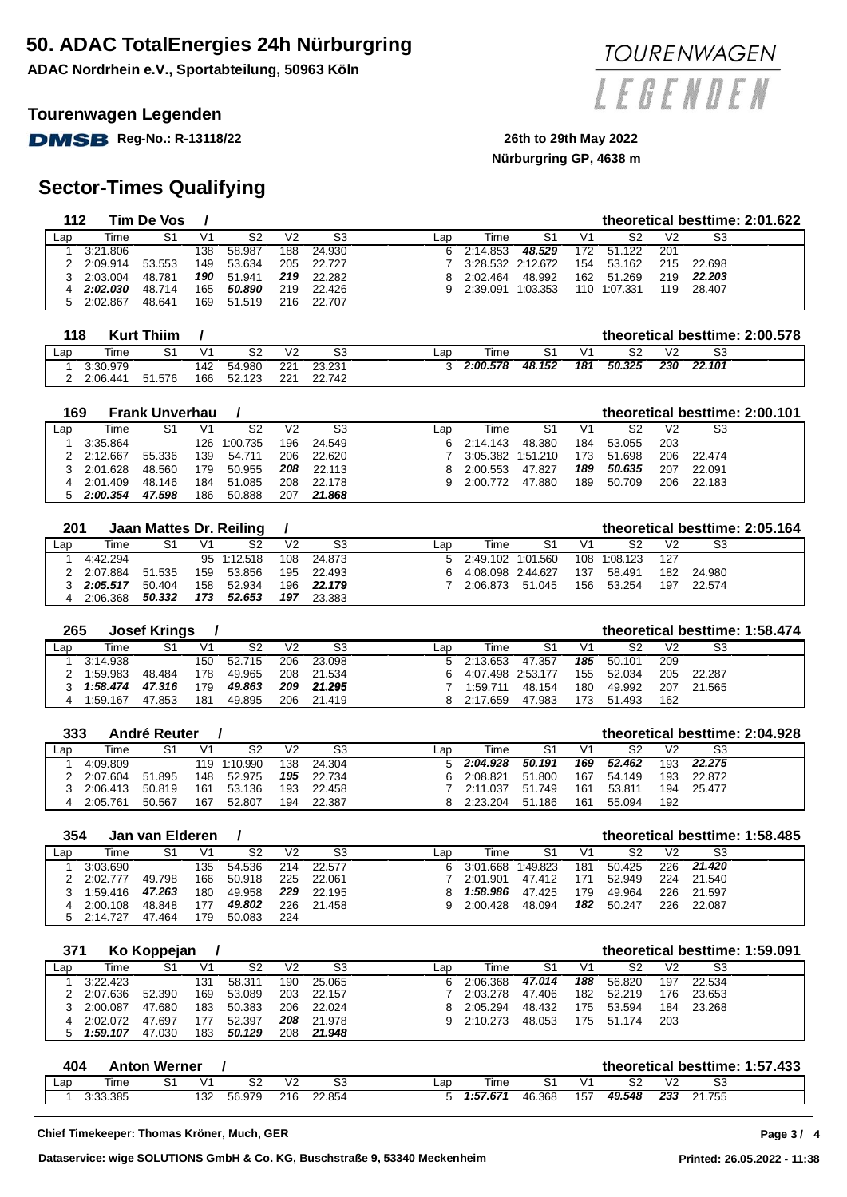**ADAC Nordrhein e.V., Sportabteilung, 50963 Köln**

### **Tourenwagen Legenden**

**DMSB** Reg-No.: R-13118/22 26th to 29th May 2022

## **Sector-Times Qualifying**

| 112 |          | Tim De Vos |     |        |                |        |     |                   |          |     |              |                |        | theoretical besttime: 2:01.622 |
|-----|----------|------------|-----|--------|----------------|--------|-----|-------------------|----------|-----|--------------|----------------|--------|--------------------------------|
| Lap | Time     | S1         | V1  | S2     | V <sub>2</sub> | S3     | ∟ap | Time              | S1       | V1  | S2           | V <sub>2</sub> | S3     |                                |
|     | 3:21.806 |            | 138 | 58.987 | 188            | 24.930 | 6.  | 2:14.853          | 48.529   | 172 | 51.122       | 201            |        |                                |
|     | 2:09.914 | 53.553     | 149 | 53.634 | 205            | 22.727 |     | 3:28.532 2:12.672 |          | 154 | 53.162       | 215            | 22.698 |                                |
|     | 2:03.004 | 48.781     | 190 | 51.941 | 219            | 22.282 | 8.  | 2:02.464          | 48.992   | 162 | 51.269       | 219            | 22.203 |                                |
|     | 2:02.030 | 48.714     | 165 | 50.890 | 219            | 22.426 | 9.  | 2:39.091          | 1:03.353 |     | 110 1:07.331 | 119            | 28.407 |                                |
| 5   | 2:02.867 | 48.641     | 169 | 51.519 | 216            | 22.707 |     |                   |          |     |              |                |        |                                |

| 118            |          | <b>Kurt Thiim</b> |     |        |     |        |     |          |        |     |        |                |        | theoretical besttime: 2:00.578 |
|----------------|----------|-------------------|-----|--------|-----|--------|-----|----------|--------|-----|--------|----------------|--------|--------------------------------|
| $\mathsf{Lap}$ | Time     |                   |     | S2     | V2  | S3     | ∟aɒ | Гіmе     |        |     | S2     | V <sub>2</sub> | S3     |                                |
|                | 3:30.979 |                   | 142 | 54.980 | 221 | 23.231 |     | 2:00.578 | 48.152 | 181 | 50.325 | 230            | 22.101 |                                |
|                | 2:06.441 | 51.576            | 166 | 52.123 | 221 | 22.742 |     |          |        |     |        |                |        |                                |

| 169 |          | <b>Frank Unverhau</b> |                |              |     |        |     |          |          |     |        |     |        | theoretical besttime: 2:00.101 |
|-----|----------|-----------------------|----------------|--------------|-----|--------|-----|----------|----------|-----|--------|-----|--------|--------------------------------|
| Lap | Time     | S1                    | V <sub>1</sub> | S2           | V2  | S3     | ∟ap | Time     | S1       | V1  | S2     | V2  | S3     |                                |
|     | 3:35.864 |                       |                | 126 1:00.735 | 196 | 24.549 | 6.  | 2:14.143 | 48.380   | 184 | 53.055 | 203 |        |                                |
|     | 2:12.667 | 55.336                | 139            | 54.711       | 206 | 22.620 |     | 3:05.382 | 1:51.210 | 173 | 51.698 | 206 | 22.474 |                                |
|     | 2:01.628 | 48.560                | 179            | 50.955       | 208 | 22.113 | 8   | 2:00.553 | 47.827   | 189 | 50.635 | 207 | 22.091 |                                |
|     | 2:01.409 | 48.146                | 184            | 51.085       | 208 | 22.178 | 9   | 2:00.772 | 47.880   | 189 | 50.709 | 206 | 22.183 |                                |
|     | 2:00.354 | 47.598                | 186            | 50.888       | 207 | 21.868 |     |          |          |     |        |     |        |                                |

| 201 |          |        |                | Jaan Mattes Dr. Reiling |     |        |     |                     |        |     |              |                |        | theoretical besttime: 2:05.164 |
|-----|----------|--------|----------------|-------------------------|-----|--------|-----|---------------------|--------|-----|--------------|----------------|--------|--------------------------------|
| Lap | Time     | S1     | V <sub>1</sub> | S2                      | V2  | S3     | ∟ap | Time                | S1     |     | S2           | V <sub>2</sub> | S3     |                                |
|     | 4:42.294 |        |                | 95 1:12.518             | 108 | 24.873 |     | 5 2:49.102 1:01.560 |        |     | 108 1:08.123 | 127            |        |                                |
|     | 2:07.884 | 51.535 | 159            | 53.856                  | 195 | 22.493 | 6.  | 4:08.098 2:44.627   |        | 137 | 58.491       | 182            | 24.980 |                                |
|     | 2:05.517 | 50.404 | 158            | 52.934                  | 196 | 22.179 |     | 2:06.873            | 51.045 | 156 | 53.254       | 197            | 22.574 |                                |
|     | 2:06.368 | 50.332 | 173            | 52.653                  | 197 | 23.383 |     |                     |        |     |              |                |        |                                |

| 265 |          | <b>Josef Krings</b> |                |        |     |        |     |                   |        |                |        |                |        | theoretical besttime: 1:58,474 |
|-----|----------|---------------------|----------------|--------|-----|--------|-----|-------------------|--------|----------------|--------|----------------|--------|--------------------------------|
| ∟ap | Time     | S1                  | V <sub>1</sub> | S2     | V2  | S3     | ∟aɒ | Time              | S1     | V <sub>1</sub> | S2     | V <sub>2</sub> | S3     |                                |
|     | 3:14.938 |                     | 150            | 52.715 | 206 | 23.098 |     | 5 2:13.653        | 47.357 | 185            | 50.101 | 209            |        |                                |
|     | 1:59.983 | 48.484              | 178            | 49.965 | 208 | 21.534 | 6.  | 4:07.498 2:53.177 |        | 155            | 52.034 | 205            | 22.287 |                                |
|     | 1:58.474 | 47.316              | 179            | 49.863 | 209 | 21.295 |     | 1:59.711          | 48.154 | 180            | 49.992 | 207            | 21.565 |                                |
|     | 1:59.167 | 47.853              | 181            | 49.895 | 206 | 21.419 |     | 2:17.659          | 47.983 | 173            | 51.493 | 162            |        |                                |

|     | 333<br>André Reuter<br>theoretical besttime: 2:04.928 |        |                |              |     |        |     |    |          |        |     |        |     |        |  |
|-----|-------------------------------------------------------|--------|----------------|--------------|-----|--------|-----|----|----------|--------|-----|--------|-----|--------|--|
| ∟ap | Time                                                  | S1     | V <sub>1</sub> | S2           | V2  | S3     | ∟ap |    | Time     | S1     |     | S2     | V2  | S3     |  |
|     | 4:09.809                                              |        |                | 119 1:10.990 | 138 | 24.304 |     | 5. | 2:04.928 | 50.191 | 169 | 52.462 | 193 | 22.275 |  |
|     | 2:07.604                                              | 51.895 | 148            | 52.975       | 195 | 22.734 |     | ൳  | 2:08.821 | 51.800 | 167 | 54.149 | 193 | 22.872 |  |
|     | 2:06.413                                              | 50.819 | 161            | 53.136       | 193 | 22.458 |     |    | 2:11.037 | 51.749 | 161 | 53.811 | 194 | 25.477 |  |
| 4   | 2:05.761                                              | 50.567 | 167            | 52.807       | 194 | 22.387 |     |    | 2:23.204 | 51.186 | 161 | 55.094 | 192 |        |  |

| 354<br>Jan van Elderen |          |        |     |                |                |        |     |          |          |     |        |                | theoretical besttime: 1:58.485 |  |
|------------------------|----------|--------|-----|----------------|----------------|--------|-----|----------|----------|-----|--------|----------------|--------------------------------|--|
| Lap                    | Гіmе     | S1     | V1  | S <sub>2</sub> | V <sub>2</sub> | S3     | ∟ap | Time     | S1       |     | S2     | V <sub>2</sub> | S3                             |  |
|                        | 3:03.690 |        | 135 | 54.536         | 214            | 22.577 | 6.  | 3:01.668 | 1:49.823 | 181 | 50.425 | 226.           | 21.420                         |  |
|                        | 2:02.777 | 49.798 | 166 | 50.918         | 225            | 22.061 |     | 2:01.901 | 47.412   | 171 | 52.949 | 224            | 21.540                         |  |
|                        | 1:59.416 | 47.263 | 180 | 49.958         | 229            | 22.195 | я   | 1:58.986 | 47.425   | 179 | 49.964 | 226            | 21.597                         |  |
| 4                      | 2:00.108 | 48.848 | 177 | 49.802         | 226            | 21.458 | 9   | 2:00.428 | 48.094   | 182 | 50.247 | 226            | 22.087                         |  |
|                        | 2:14.727 | 47.464 | 179 | 50.083         | 224            |        |     |          |          |     |        |                |                                |  |

|     | 371<br>Ko Koppejan |        |     |        |     |        |  |     |          | theoretical besttime: 1:59.091 |     |        |                |        |  |  |
|-----|--------------------|--------|-----|--------|-----|--------|--|-----|----------|--------------------------------|-----|--------|----------------|--------|--|--|
| Lap | Time               | S1     | V1  | -S2    | V2  | S3     |  | ∟aɒ | Time     | S1                             | V1  | S2     | V <sub>2</sub> | S3     |  |  |
|     | 3:22.423           |        | 131 | 58.311 | 190 | 25.065 |  | 6   | 2:06.368 | 47.014                         | 188 | 56.820 | 197            | 22.534 |  |  |
|     | 2:07.636           | 52.390 | 169 | 53.089 | 203 | 22.157 |  |     | 2:03.278 | 47.406                         | 182 | 52.219 | 176            | 23.653 |  |  |
|     | 2:00.087           | 47.680 | 183 | 50.383 | 206 | 22.024 |  | 8   | 2:05.294 | 48.432                         | 175 | 53.594 | 184            | 23.268 |  |  |
|     | 2:02.072           | 47.697 | 177 | 52.397 | 208 | 21.978 |  | q   | 2:10.273 | 48.053                         | 175 | 51.174 | 203            |        |  |  |
| 5   | 1:59.107           | 47.030 | 183 | 50.129 | 208 | 21.948 |  |     |          |                                |     |        |                |        |  |  |

|                 | 404      | <b>Anton Werner</b> |            |        |                |        |     |          |        |     |        |     |        | theoretical besttime: 1:57.433 |
|-----------------|----------|---------------------|------------|--------|----------------|--------|-----|----------|--------|-----|--------|-----|--------|--------------------------------|
| $\mathsf{L}$ ap | Time     | S1                  | $\sqrt{1}$ | co     | V <sub>2</sub> | SЗ     | ∟ap | Time     |        | V1  | S2     | V2  | SЗ     |                                |
|                 | 3:33.385 |                     | 132        | 56.979 | 216            | 22.854 |     | 1:57.671 | 46.368 | 157 | 49.548 | 233 | 21.755 |                                |

### **Page 3 /**



**Nürburgring GP, 4638 m**